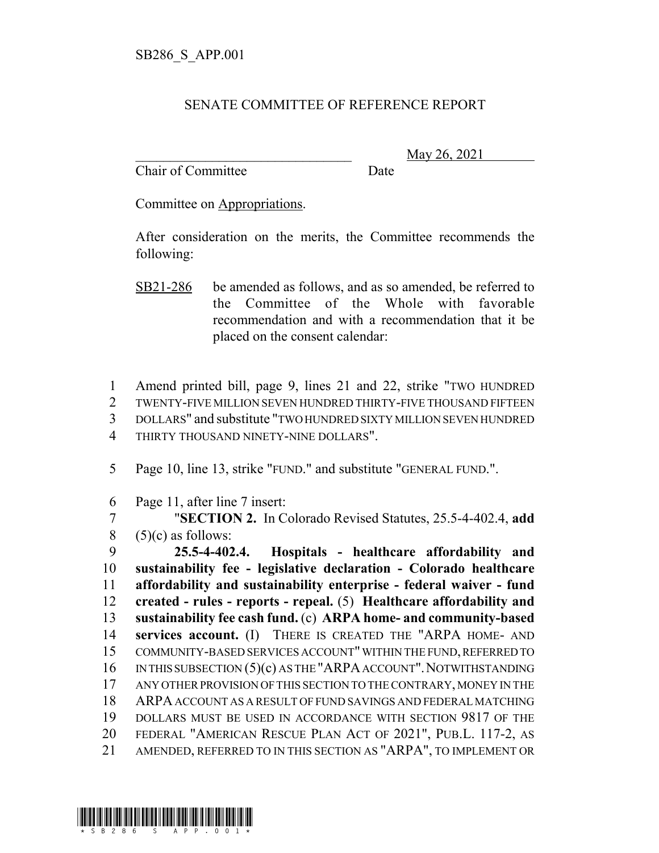## SENATE COMMITTEE OF REFERENCE REPORT

Chair of Committee Date

\_\_\_\_\_\_\_\_\_\_\_\_\_\_\_\_\_\_\_\_\_\_\_\_\_\_\_\_\_\_\_ May 26, 2021

Committee on Appropriations.

After consideration on the merits, the Committee recommends the following:

- 1 Amend printed bill, page 9, lines 21 and 22, strike "TWO HUNDRED
- 2 TWENTY-FIVE MILLION SEVEN HUNDRED THIRTY-FIVE THOUSAND FIFTEEN
- 3 DOLLARS" and substitute "TWO HUNDRED SIXTY MILLION SEVEN HUNDRED
- 4 THIRTY THOUSAND NINETY-NINE DOLLARS".
- 5 Page 10, line 13, strike "FUND." and substitute "GENERAL FUND.".
- 6 Page 11, after line 7 insert:

7 "**SECTION 2.** In Colorado Revised Statutes, 25.5-4-402.4, **add**  $8 \quad (5)(c)$  as follows:

 **25.5-4-402.4. Hospitals - healthcare affordability and sustainability fee - legislative declaration - Colorado healthcare affordability and sustainability enterprise - federal waiver - fund created - rules - reports - repeal.** (5) **Healthcare affordability and sustainability fee cash fund.** (c) **ARPA home- and community-based services account.** (I) THERE IS CREATED THE "ARPA HOME- AND COMMUNITY-BASED SERVICES ACCOUNT" WITHIN THE FUND, REFERRED TO 16 IN THIS SUBSECTION (5)(c) AS THE "ARPA ACCOUNT". NOTWITHSTANDING 17 ANY OTHER PROVISION OF THIS SECTION TO THE CONTRARY, MONEY IN THE ARPA ACCOUNT AS A RESULT OF FUND SAVINGS AND FEDERAL MATCHING 19 DOLLARS MUST BE USED IN ACCORDANCE WITH SECTION 9817 OF THE FEDERAL "AMERICAN RESCUE PLAN ACT OF 2021", PUB.L. 117-2, AS AMENDED, REFERRED TO IN THIS SECTION AS "ARPA", TO IMPLEMENT OR



SB21-286 be amended as follows, and as so amended, be referred to the Committee of the Whole with favorable recommendation and with a recommendation that it be placed on the consent calendar: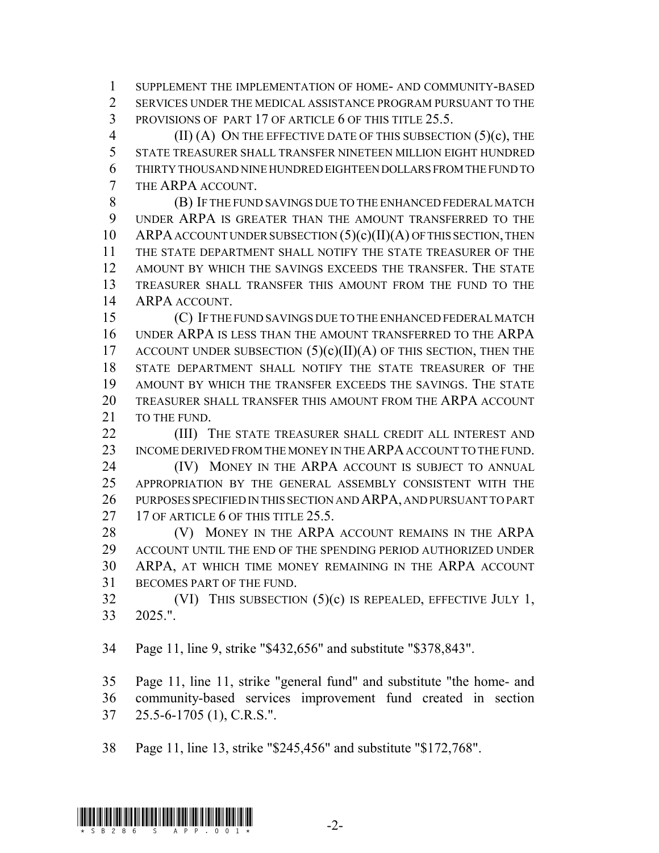SUPPLEMENT THE IMPLEMENTATION OF HOME- AND COMMUNITY-BASED 2 SERVICES UNDER THE MEDICAL ASSISTANCE PROGRAM PURSUANT TO THE 3 PROVISIONS OF PART 17 OF ARTICLE 6 OF THIS TITLE 25.5.

4 (II) (A) ON THE EFFECTIVE DATE OF THIS SUBSECTION (5)(c), THE STATE TREASURER SHALL TRANSFER NINETEEN MILLION EIGHT HUNDRED THIRTY THOUSAND NINE HUNDRED EIGHTEEN DOLLARS FROM THE FUND TO THE ARPA ACCOUNT.

 (B) IF THE FUND SAVINGS DUE TO THE ENHANCED FEDERAL MATCH UNDER ARPA IS GREATER THAN THE AMOUNT TRANSFERRED TO THE 10 ARPA ACCOUNT UNDER SUBSECTION  $(5)(c)(II)(A)$  OF THIS SECTION, THEN THE STATE DEPARTMENT SHALL NOTIFY THE STATE TREASURER OF THE AMOUNT BY WHICH THE SAVINGS EXCEEDS THE TRANSFER. THE STATE TREASURER SHALL TRANSFER THIS AMOUNT FROM THE FUND TO THE ARPA ACCOUNT.

 (C) IF THE FUND SAVINGS DUE TO THE ENHANCED FEDERAL MATCH UNDER ARPA IS LESS THAN THE AMOUNT TRANSFERRED TO THE ARPA 17 ACCOUNT UNDER SUBSECTION  $(5)(c)(II)(A)$  OF THIS SECTION, THEN THE STATE DEPARTMENT SHALL NOTIFY THE STATE TREASURER OF THE AMOUNT BY WHICH THE TRANSFER EXCEEDS THE SAVINGS. THE STATE TREASURER SHALL TRANSFER THIS AMOUNT FROM THE ARPA ACCOUNT 21 TO THE FUND.

22 (III) THE STATE TREASURER SHALL CREDIT ALL INTEREST AND 23 INCOME DERIVED FROM THE MONEY IN THE ARPA ACCOUNT TO THE FUND.

**IV) MONEY IN THE ARPA ACCOUNT IS SUBJECT TO ANNUAL**  APPROPRIATION BY THE GENERAL ASSEMBLY CONSISTENT WITH THE PURPOSES SPECIFIED IN THIS SECTION AND ARPA, AND PURSUANT TO PART 27 17 OF ARTICLE 6 OF THIS TITLE 25.5.

28 (V) MONEY IN THE ARPA ACCOUNT REMAINS IN THE ARPA ACCOUNT UNTIL THE END OF THE SPENDING PERIOD AUTHORIZED UNDER ARPA, AT WHICH TIME MONEY REMAINING IN THE ARPA ACCOUNT BECOMES PART OF THE FUND.

 (VI) THIS SUBSECTION (5)(c) IS REPEALED, EFFECTIVE JULY 1, 2025.".

Page 11, line 9, strike "\$432,656" and substitute "\$378,843".

 Page 11, line 11, strike "general fund" and substitute "the home- and community-based services improvement fund created in section 25.5-6-1705 (1), C.R.S.".

Page 11, line 13, strike "\$245,456" and substitute "\$172,768".